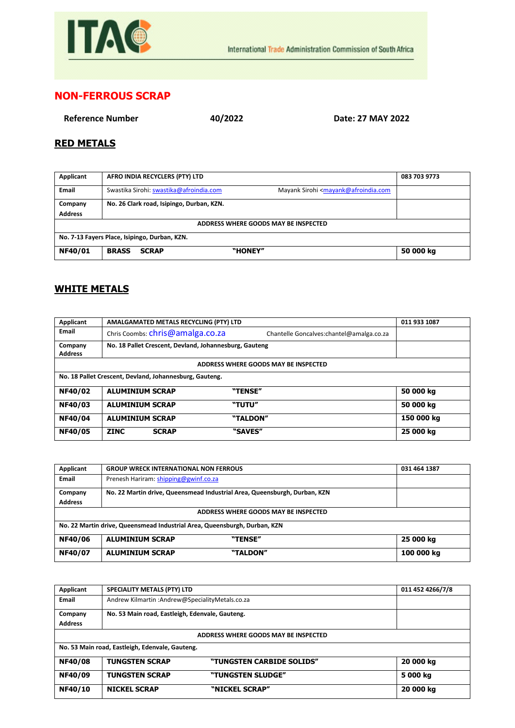

## **NON-FERROUS SCRAP**

**Reference Number 40/2022 Date: 27 MAY 2022**

## **RED METALS**

| Applicant                                     | AFRO INDIA RECYCLERS (PTY) LTD                                                                                          | 083 703 9773 |  |
|-----------------------------------------------|-------------------------------------------------------------------------------------------------------------------------|--------------|--|
| Email                                         | Swastika Sirohi: swastika@afroindia.com<br>Mayank Sirohi <mayank@afroindia.com< th=""><th></th></mayank@afroindia.com<> |              |  |
| Company                                       | No. 26 Clark road, Isipingo, Durban, KZN.                                                                               |              |  |
| <b>Address</b>                                |                                                                                                                         |              |  |
| ADDRESS WHERE GOODS MAY BE INSPECTED          |                                                                                                                         |              |  |
| No. 7-13 Fayers Place, Isipingo, Durban, KZN. |                                                                                                                         |              |  |
| NF40/01                                       | "HONEY"<br><b>BRASS</b><br><b>SCRAP</b>                                                                                 | 50 000 kg    |  |

## **WHITE METALS**

| <b>Applicant</b>                                        | AMALGAMATED METALS RECYCLING (PTY) LTD                 |                                           | 011 933 1087 |
|---------------------------------------------------------|--------------------------------------------------------|-------------------------------------------|--------------|
| <b>Email</b>                                            | Chris Coombs: chris@amalga.co.za                       | Chantelle Goncalves: chantel@amalga.co.za |              |
| Company                                                 | No. 18 Pallet Crescent, Devland, Johannesburg, Gauteng |                                           |              |
| <b>Address</b>                                          |                                                        |                                           |              |
| ADDRESS WHERE GOODS MAY BE INSPECTED                    |                                                        |                                           |              |
| No. 18 Pallet Crescent, Devland, Johannesburg, Gauteng. |                                                        |                                           |              |
| NF40/02                                                 | <b>ALUMINIUM SCRAP</b>                                 | "TENSE"                                   | 50 000 kg    |
| <b>NF40/03</b>                                          | <b>ALUMINIUM SCRAP</b>                                 | "TUTU"                                    | 50 000 kg    |
| NF40/04                                                 | <b>ALUMINIUM SCRAP</b>                                 | "TALDON"                                  | 150 000 kg   |
| <b>NF40/05</b>                                          | <b>ZINC</b><br><b>SCRAP</b>                            | "SAVES"                                   | 25 000 kg    |

| Applicant                                                                 | <b>GROUP WRECK INTERNATIONAL NON FERROUS</b>                              | 031 464 1387 |  |
|---------------------------------------------------------------------------|---------------------------------------------------------------------------|--------------|--|
| Email                                                                     | Prenesh Hariram: shipping@gwinf.co.za                                     |              |  |
| Company                                                                   | No. 22 Martin drive, Queensmead Industrial Area, Queensburgh, Durban, KZN |              |  |
| <b>Address</b>                                                            |                                                                           |              |  |
| ADDRESS WHERE GOODS MAY BE INSPECTED                                      |                                                                           |              |  |
| No. 22 Martin drive, Queensmead Industrial Area, Queensburgh, Durban, KZN |                                                                           |              |  |
| NF40/06                                                                   | <b>ALUMINIUM SCRAP</b><br>"TENSE"                                         | 25 000 kg    |  |
| NF40/07                                                                   | "TALDON"<br><b>ALUMINIUM SCRAP</b>                                        | 100 000 kg   |  |

| <b>SPECIALITY METALS (PTY) LTD</b>              |                           | 011 452 4266/7/8 |  |
|-------------------------------------------------|---------------------------|------------------|--|
| Andrew Kilmartin :Andrew@SpecialityMetals.co.za |                           |                  |  |
| No. 53 Main road, Eastleigh, Edenvale, Gauteng. |                           |                  |  |
|                                                 |                           |                  |  |
| ADDRESS WHERE GOODS MAY BE INSPECTED            |                           |                  |  |
| No. 53 Main road, Eastleigh, Edenvale, Gauteng. |                           |                  |  |
| <b>TUNGSTEN SCRAP</b>                           | "TUNGSTEN CARBIDE SOLIDS" | 20 000 kg        |  |
| <b>TUNGSTEN SCRAP</b>                           | "TUNGSTEN SLUDGE"         | 5 000 kg         |  |
| <b>NICKEL SCRAP</b>                             | "NICKEL SCRAP"            | 20 000 kg        |  |
|                                                 |                           |                  |  |